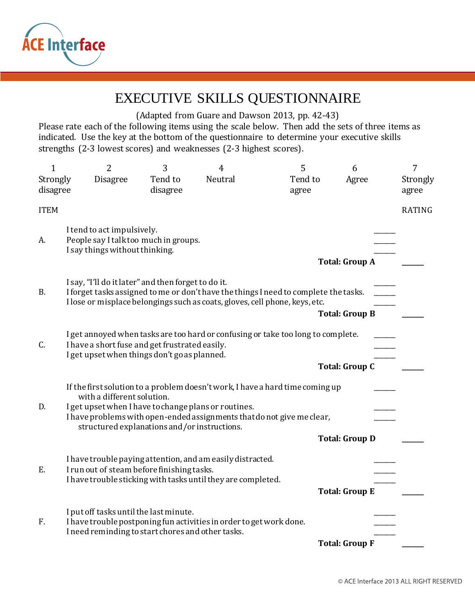

## EXECUTIVE SKILLS QUESTIONNAIRE

(Adapted from Guare and Dawson 2013, pp. 42-43)

Please rate each of the following items using the scale below. Then add the sets of three items as indicated. Use the key at the bottom of the questionnaire to determine your executive skills strengths (2-3 lowest scores) and weaknesses (2-3 highest scores).

| $\mathbf 1$          | $\overline{2}$                                                                                                                                                                                                                                                                                | 3                   | $\overline{4}$ | 5                                                                                | 6                     | 7                 |  |  |  |  |
|----------------------|-----------------------------------------------------------------------------------------------------------------------------------------------------------------------------------------------------------------------------------------------------------------------------------------------|---------------------|----------------|----------------------------------------------------------------------------------|-----------------------|-------------------|--|--|--|--|
| Strongly<br>disagree | <b>Disagree</b>                                                                                                                                                                                                                                                                               | Tend to<br>disagree | Neutral        | Tend to<br>agree                                                                 | Agree                 | Strongly<br>agree |  |  |  |  |
| <b>ITEM</b>          |                                                                                                                                                                                                                                                                                               |                     |                |                                                                                  |                       | <b>RATING</b>     |  |  |  |  |
| A.                   | I tend to act impulsively.<br>People say I talk too much in groups.<br>I say things without thinking.                                                                                                                                                                                         |                     |                |                                                                                  |                       |                   |  |  |  |  |
|                      |                                                                                                                                                                                                                                                                                               |                     |                |                                                                                  | <b>Total: Group A</b> |                   |  |  |  |  |
| <b>B.</b>            | I say, "I'll do it later" and then forget to do it.<br>I forget tasks assigned to me or don't have the things I need to complete the tasks.<br>I lose or misplace belongings such as coats, gloves, cell phone, keys, etc.                                                                    |                     |                |                                                                                  |                       |                   |  |  |  |  |
|                      |                                                                                                                                                                                                                                                                                               |                     |                |                                                                                  | <b>Total: Group B</b> |                   |  |  |  |  |
| C.                   | I have a short fuse and get frustrated easily.<br>I get upset when things don't go as planned.                                                                                                                                                                                                |                     |                | I get annoyed when tasks are too hard or confusing or take too long to complete. |                       |                   |  |  |  |  |
|                      |                                                                                                                                                                                                                                                                                               |                     |                |                                                                                  | <b>Total: Group C</b> |                   |  |  |  |  |
| D.                   | If the first solution to a problem doesn't work, I have a hard time coming up<br>with a different solution.<br>I get upset when I have to change plans or routines.<br>I have problems with open-ended assignments that do not give me clear,<br>structured explanations and/or instructions. |                     |                |                                                                                  |                       |                   |  |  |  |  |
|                      |                                                                                                                                                                                                                                                                                               |                     |                |                                                                                  | <b>Total: Group D</b> |                   |  |  |  |  |
| Ε.                   | I have trouble paying attention, and am easily distracted.<br>I run out of steam before finishing tasks.<br>I have trouble sticking with tasks until they are completed.                                                                                                                      |                     |                |                                                                                  |                       |                   |  |  |  |  |
|                      |                                                                                                                                                                                                                                                                                               |                     |                |                                                                                  | <b>Total: Group E</b> |                   |  |  |  |  |
| F.                   | I put off tasks until the last minute.<br>I have trouble postponing fun activities in order to get work done.<br>I need reminding to start chores and other tasks.                                                                                                                            |                     |                |                                                                                  |                       |                   |  |  |  |  |
|                      |                                                                                                                                                                                                                                                                                               |                     |                | <b>Total: Group F</b>                                                            |                       |                   |  |  |  |  |